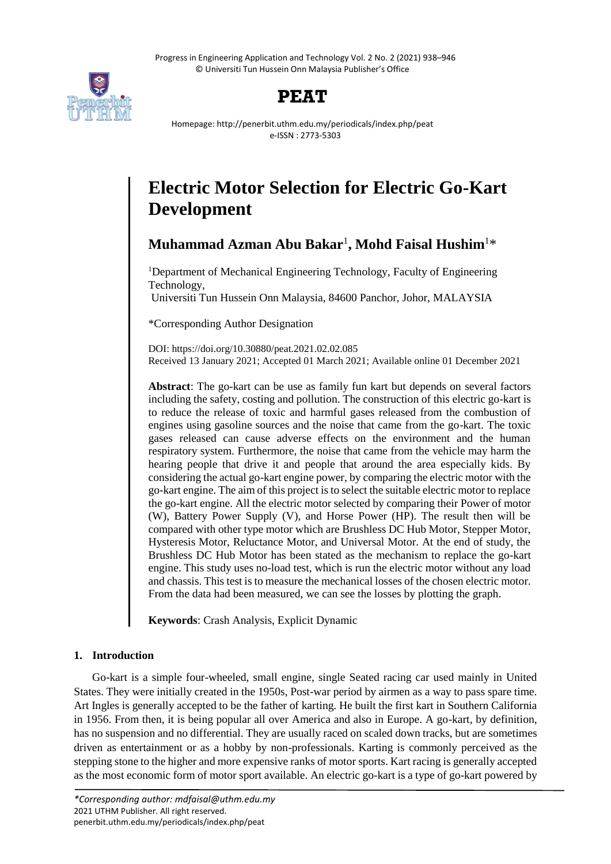Progress in Engineering Application and Technology Vol. 2 No. 2 (2021) 938–946 © Universiti Tun Hussein Onn Malaysia Publisher's Office



## **PEAT**

Homepage: http://penerbit.uthm.edu.my/periodicals/index.php/peat e-ISSN : 2773-5303

# **Electric Motor Selection for Electric Go-Kart Development**

**Muhammad Azman Abu Bakar**<sup>1</sup> **, Mohd Faisal Hushim**<sup>1</sup>\*

<sup>1</sup>Department of Mechanical Engineering Technology, Faculty of Engineering Technology,

Universiti Tun Hussein Onn Malaysia, 84600 Panchor, Johor, MALAYSIA

\*Corresponding Author Designation

DOI: https://doi.org/10.30880/peat.2021.02.02.085 Received 13 January 2021; Accepted 01 March 2021; Available online 01 December 2021

**Abstract**: The go-kart can be use as family fun kart but depends on several factors including the safety, costing and pollution. The construction of this electric go-kart is to reduce the release of toxic and harmful gases released from the combustion of engines using gasoline sources and the noise that came from the go-kart. The toxic gases released can cause adverse effects on the environment and the human respiratory system. Furthermore, the noise that came from the vehicle may harm the hearing people that drive it and people that around the area especially kids. By considering the actual go-kart engine power, by comparing the electric motor with the go-kart engine. The aim of this project is to select the suitable electric motor to replace the go-kart engine. All the electric motor selected by comparing their Power of motor (W), Battery Power Supply (V), and Horse Power (HP). The result then will be compared with other type motor which are Brushless DC Hub Motor, Stepper Motor, Hysteresis Motor, Reluctance Motor, and Universal Motor. At the end of study, the Brushless DC Hub Motor has been stated as the mechanism to replace the go-kart engine. This study uses no-load test, which is run the electric motor without any load and chassis. This test is to measure the mechanical losses of the chosen electric motor. From the data had been measured, we can see the losses by plotting the graph.

**Keywords**: Crash Analysis, Explicit Dynamic

## **1. Introduction**

Go-kart is a simple four-wheeled, small engine, single Seated racing car used mainly in United States. They were initially created in the 1950s, Post-war period by airmen as a way to pass spare time. Art Ingles is generally accepted to be the father of karting. He built the first kart in Southern California in 1956. From then, it is being popular all over America and also in Europe. A go-kart, by definition, has no suspension and no differential. They are usually raced on scaled down tracks, but are sometimes driven as entertainment or as a hobby by non-professionals. Karting is commonly perceived as the stepping stone to the higher and more expensive ranks of motor sports. Kart racing is generally accepted as the most economic form of motor sport available. An electric go-kart is a type of go-kart powered by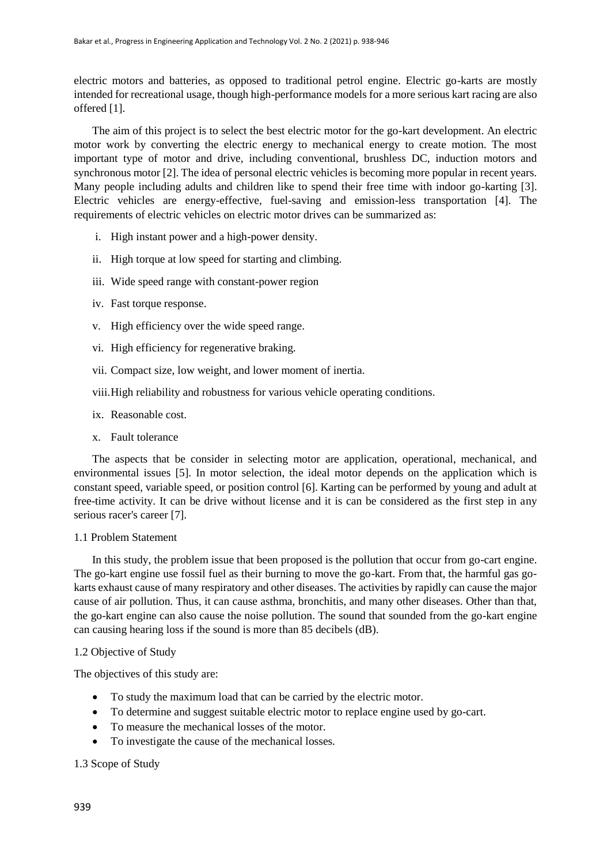electric motors and batteries, as opposed to traditional petrol engine. Electric go-karts are mostly intended for recreational usage, though high-performance models for a more serious kart racing are also offered [1].

The aim of this project is to select the best electric motor for the go-kart development. An electric motor work by converting the electric energy to mechanical energy to create motion. The most important type of motor and drive, including conventional, brushless DC, induction motors and synchronous motor [2]. The idea of personal electric vehicles is becoming more popular in recent years. Many people including adults and children like to spend their free time with indoor go-karting [3]. Electric vehicles are energy-effective, fuel-saving and emission-less transportation [4]. The requirements of electric vehicles on electric motor drives can be summarized as:

- i. High instant power and a high-power density.
- ii. High torque at low speed for starting and climbing.
- iii. Wide speed range with constant-power region
- iv. Fast torque response.
- v. High efficiency over the wide speed range.
- vi. High efficiency for regenerative braking.
- vii. Compact size, low weight, and lower moment of inertia.
- viii.High reliability and robustness for various vehicle operating conditions.
- ix. Reasonable cost.
- x. Fault tolerance

The aspects that be consider in selecting motor are application, operational, mechanical, and environmental issues [5]. In motor selection, the ideal motor depends on the application which is constant speed, variable speed, or position control [6]. Karting can be performed by young and adult at free-time activity. It can be drive without license and it is can be considered as the first step in any serious racer's career [7].

## 1.1 Problem Statement

In this study, the problem issue that been proposed is the pollution that occur from go-cart engine. The go-kart engine use fossil fuel as their burning to move the go-kart. From that, the harmful gas gokarts exhaust cause of many respiratory and other diseases. The activities by rapidly can cause the major cause of air pollution. Thus, it can cause asthma, bronchitis, and many other diseases. Other than that, the go-kart engine can also cause the noise pollution. The sound that sounded from the go-kart engine can causing hearing loss if the sound is more than 85 decibels (dB).

## 1.2 Objective of Study

The objectives of this study are:

- To study the maximum load that can be carried by the electric motor.
- To determine and suggest suitable electric motor to replace engine used by go-cart.
- To measure the mechanical losses of the motor.
- To investigate the cause of the mechanical losses.

## 1.3 Scope of Study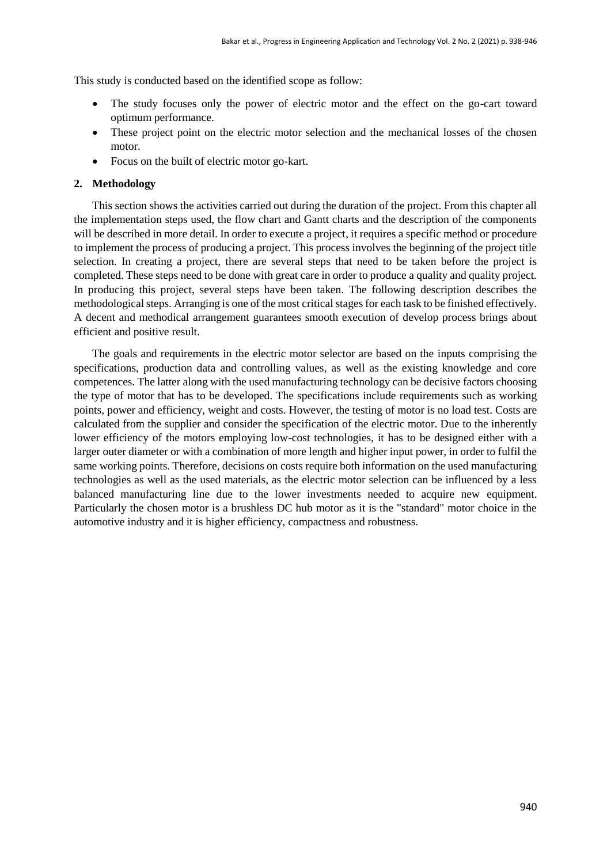This study is conducted based on the identified scope as follow:

- The study focuses only the power of electric motor and the effect on the go-cart toward optimum performance.
- These project point on the electric motor selection and the mechanical losses of the chosen motor.
- Focus on the built of electric motor go-kart.

## **2. Methodology**

This section shows the activities carried out during the duration of the project. From this chapter all the implementation steps used, the flow chart and Gantt charts and the description of the components will be described in more detail. In order to execute a project, it requires a specific method or procedure to implement the process of producing a project. This process involves the beginning of the project title selection. In creating a project, there are several steps that need to be taken before the project is completed. These steps need to be done with great care in order to produce a quality and quality project. In producing this project, several steps have been taken. The following description describes the methodological steps. Arranging is one of the most critical stages for each task to be finished effectively. A decent and methodical arrangement guarantees smooth execution of develop process brings about efficient and positive result.

The goals and requirements in the electric motor selector are based on the inputs comprising the specifications, production data and controlling values, as well as the existing knowledge and core competences. The latter along with the used manufacturing technology can be decisive factors choosing the type of motor that has to be developed. The specifications include requirements such as working points, power and efficiency, weight and costs. However, the testing of motor is no load test. Costs are calculated from the supplier and consider the specification of the electric motor. Due to the inherently lower efficiency of the motors employing low-cost technologies, it has to be designed either with a larger outer diameter or with a combination of more length and higher input power, in order to fulfil the same working points. Therefore, decisions on costs require both information on the used manufacturing technologies as well as the used materials, as the electric motor selection can be influenced by a less balanced manufacturing line due to the lower investments needed to acquire new equipment. Particularly the chosen motor is a brushless DC hub motor as it is the "standard" motor choice in the automotive industry and it is higher efficiency, compactness and robustness.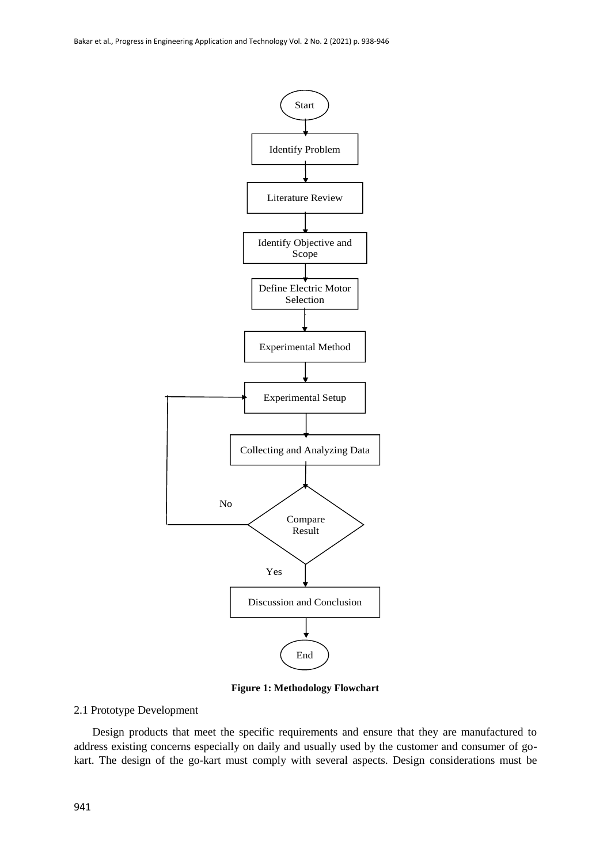

**Figure 1: Methodology Flowchart**

#### 2.1 Prototype Development

Design products that meet the specific requirements and ensure that they are manufactured to address existing concerns especially on daily and usually used by the customer and consumer of gokart. The design of the go-kart must comply with several aspects. Design considerations must be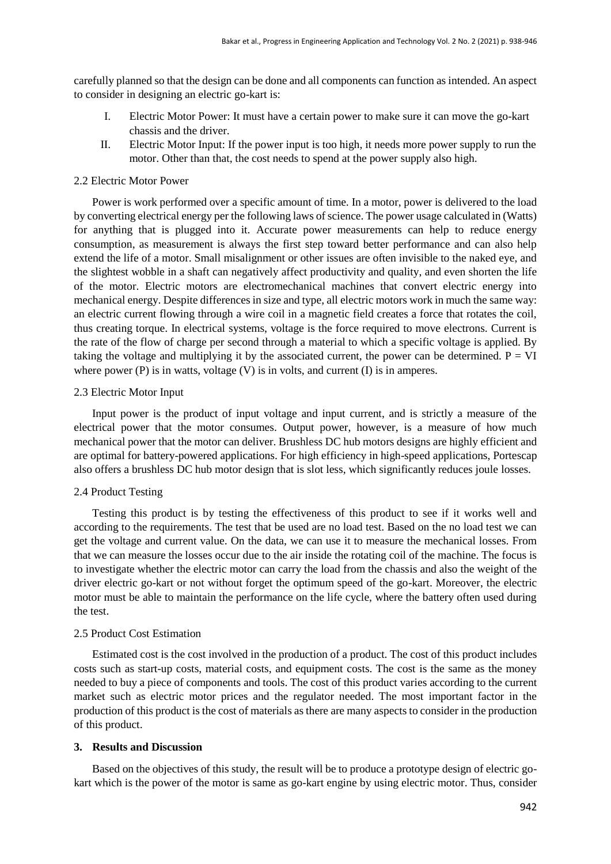carefully planned so that the design can be done and all components can function as intended. An aspect to consider in designing an electric go-kart is:

- I. Electric Motor Power: It must have a certain power to make sure it can move the go-kart chassis and the driver.
- II. Electric Motor Input: If the power input is too high, it needs more power supply to run the motor. Other than that, the cost needs to spend at the power supply also high.

#### 2.2 Electric Motor Power

Power is work performed over a specific amount of time. In a motor, power is delivered to the load by converting electrical energy per the following laws of science. The power usage calculated in (Watts) for anything that is plugged into it. Accurate power measurements can help to reduce energy consumption, as measurement is always the first step toward better performance and can also help extend the life of a motor. Small misalignment or other issues are often invisible to the naked eye, and the slightest wobble in a shaft can negatively affect productivity and quality, and even shorten the life of the motor. Electric motors are electromechanical machines that convert electric energy into mechanical energy. Despite differences in size and type, all electric motors work in much the same way: an electric current flowing through a wire coil in a magnetic field creates a force that rotates the coil, thus creating torque. In electrical systems, voltage is the force required to move electrons. Current is the rate of the flow of charge per second through a material to which a specific voltage is applied. By taking the voltage and multiplying it by the associated current, the power can be determined.  $P = VI$ where power (P) is in watts, voltage (V) is in volts, and current (I) is in amperes.

#### 2.3 Electric Motor Input

Input power is the product of input voltage and input current, and is strictly a measure of the electrical power that the motor consumes. Output power, however, is a measure of how much mechanical power that the motor can deliver. Brushless DC hub motors designs are highly efficient and are optimal for battery-powered applications. For high efficiency in high-speed applications, Portescap also offers a brushless DC hub motor design that is slot less, which significantly reduces joule losses.

#### 2.4 Product Testing

Testing this product is by testing the effectiveness of this product to see if it works well and according to the requirements. The test that be used are no load test. Based on the no load test we can get the voltage and current value. On the data, we can use it to measure the mechanical losses. From that we can measure the losses occur due to the air inside the rotating coil of the machine. The focus is to investigate whether the electric motor can carry the load from the chassis and also the weight of the driver electric go-kart or not without forget the optimum speed of the go-kart. Moreover, the electric motor must be able to maintain the performance on the life cycle, where the battery often used during the test.

#### 2.5 Product Cost Estimation

Estimated cost is the cost involved in the production of a product. The cost of this product includes costs such as start-up costs, material costs, and equipment costs. The cost is the same as the money needed to buy a piece of components and tools. The cost of this product varies according to the current market such as electric motor prices and the regulator needed. The most important factor in the production of this product is the cost of materials as there are many aspects to consider in the production of this product.

#### **3. Results and Discussion**

Based on the objectives of this study, the result will be to produce a prototype design of electric gokart which is the power of the motor is same as go-kart engine by using electric motor. Thus, consider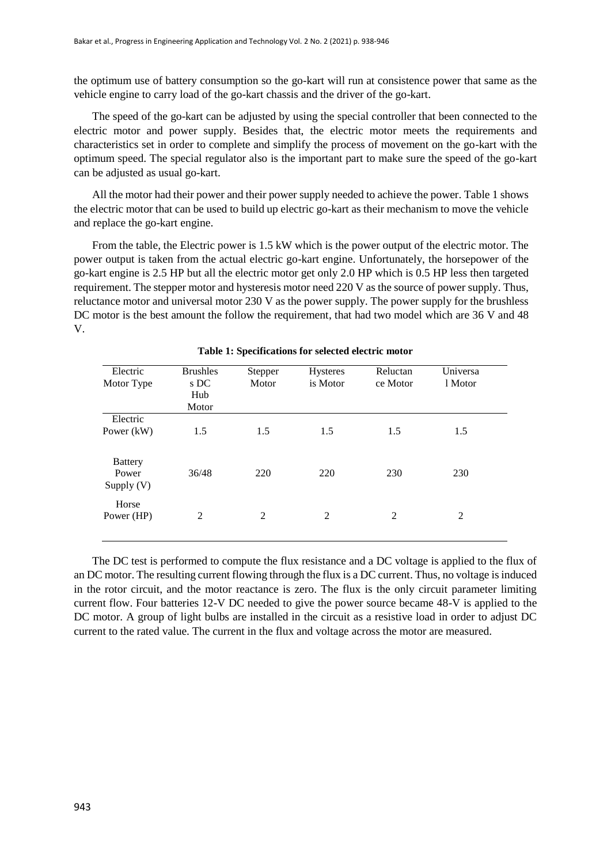the optimum use of battery consumption so the go-kart will run at consistence power that same as the vehicle engine to carry load of the go-kart chassis and the driver of the go-kart.

The speed of the go-kart can be adjusted by using the special controller that been connected to the electric motor and power supply. Besides that, the electric motor meets the requirements and characteristics set in order to complete and simplify the process of movement on the go-kart with the optimum speed. The special regulator also is the important part to make sure the speed of the go-kart can be adjusted as usual go-kart.

All the motor had their power and their power supply needed to achieve the power. Table 1 shows the electric motor that can be used to build up electric go-kart as their mechanism to move the vehicle and replace the go-kart engine.

From the table, the Electric power is 1.5 kW which is the power output of the electric motor. The power output is taken from the actual electric go-kart engine. Unfortunately, the horsepower of the go-kart engine is 2.5 HP but all the electric motor get only 2.0 HP which is 0.5 HP less then targeted requirement. The stepper motor and hysteresis motor need 220 V as the source of power supply. Thus, reluctance motor and universal motor 230 V as the power supply. The power supply for the brushless DC motor is the best amount the follow the requirement, that had two model which are 36 V and 48 V.

| Electric<br>Motor Type                  | <b>Brushles</b><br>s DC<br>Hub<br>Motor | Stepper<br>Motor | Hysteres<br>is Motor | Reluctan<br>ce Motor | Universa<br>1 Motor |
|-----------------------------------------|-----------------------------------------|------------------|----------------------|----------------------|---------------------|
| Electric<br>Power $(kW)$                | 1.5                                     | 1.5              | 1.5                  | 1.5                  | 1.5                 |
| <b>Battery</b><br>Power<br>Supply $(V)$ | 36/48                                   | 220              | 220                  | 230                  | 230                 |
| Horse<br>Power (HP)                     | 2                                       | 2                | 2                    | 2                    | 2                   |

**Table 1: Specifications for selected electric motor**

The DC test is performed to compute the flux resistance and a DC voltage is applied to the flux of an DC motor. The resulting current flowing through the flux is a DC current. Thus, no voltage is induced in the rotor circuit, and the motor reactance is zero. The flux is the only circuit parameter limiting current flow. Four batteries 12-V DC needed to give the power source became 48-V is applied to the DC motor. A group of light bulbs are installed in the circuit as a resistive load in order to adjust DC current to the rated value. The current in the flux and voltage across the motor are measured.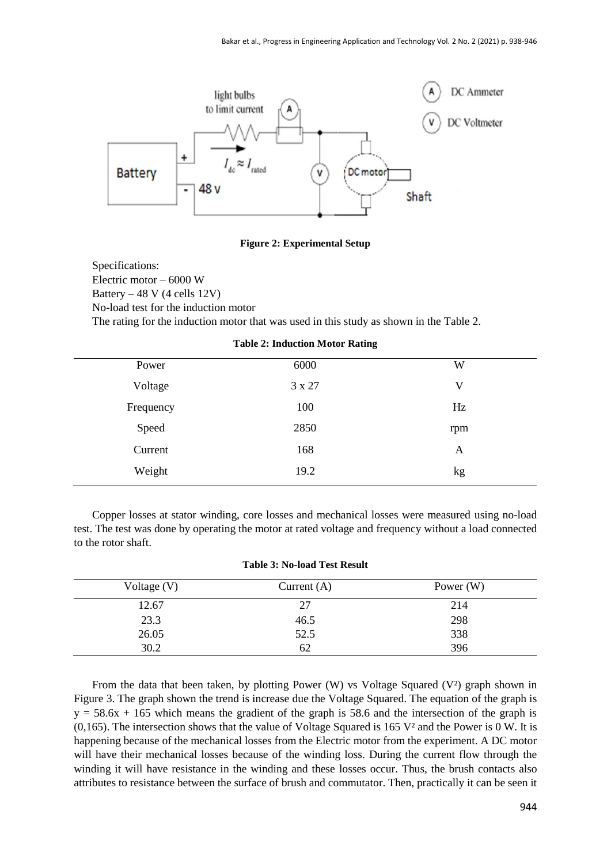

**Figure 2: Experimental Setup**

Specifications: Electric motor – 6000 W Battery – 48 V (4 cells 12V) No-load test for the induction motor The rating for the induction motor that was used in this study as shown in the Table 2.

| Power     | 6000   | W   |
|-----------|--------|-----|
| Voltage   | 3 x 27 | V   |
| Frequency | 100    | Hz  |
| Speed     | 2850   | rpm |
| Current   | 168    | A   |
| Weight    | 19.2   | kg  |
|           |        |     |

**Table 2: Induction Motor Rating**

Copper losses at stator winding, core losses and mechanical losses were measured using no-load test. The test was done by operating the motor at rated voltage and frequency without a load connected to the rotor shaft.

#### **Table 3: No-load Test Result**

| Voltage $(V)$ | Current $(A)$ | Power $(W)$ |
|---------------|---------------|-------------|
| 12.67         | 27            | 214         |
| 23.3          | 46.5          | 298         |
| 26.05         | 52.5          | 338         |
| 30.2          | 62            | 396         |

From the data that been taken, by plotting Power (W) vs Voltage Squared (V²) graph shown in Figure 3. The graph shown the trend is increase due the Voltage Squared. The equation of the graph is  $y = 58.6x + 165$  which means the gradient of the graph is 58.6 and the intersection of the graph is (0,165). The intersection shows that the value of Voltage Squared is 165  $V^2$  and the Power is 0 W. It is happening because of the mechanical losses from the Electric motor from the experiment. A DC motor will have their mechanical losses because of the winding loss. During the current flow through the winding it will have resistance in the winding and these losses occur. Thus, the brush contacts also attributes to resistance between the surface of brush and commutator. Then, practically it can be seen it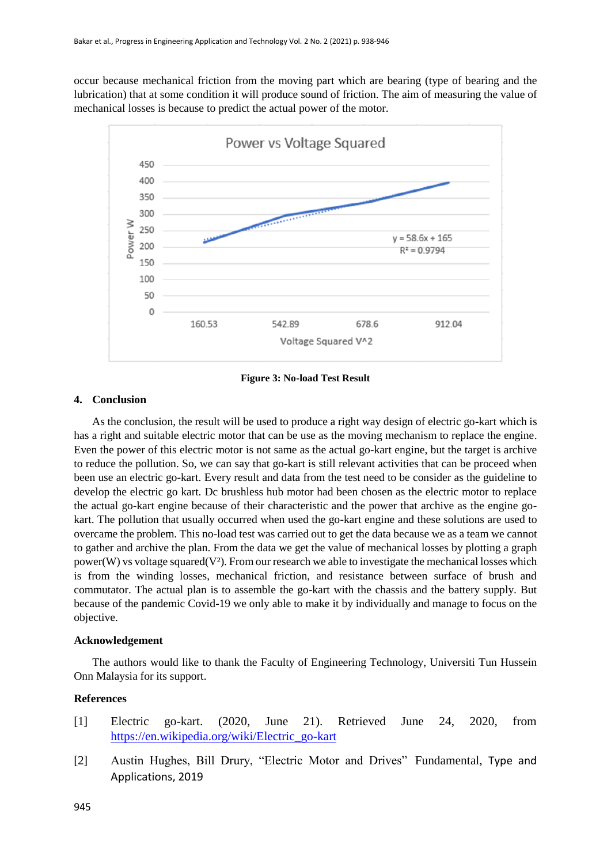occur because mechanical friction from the moving part which are bearing (type of bearing and the lubrication) that at some condition it will produce sound of friction. The aim of measuring the value of mechanical losses is because to predict the actual power of the motor.



**Figure 3: No-load Test Result**

## **4. Conclusion**

As the conclusion, the result will be used to produce a right way design of electric go-kart which is has a right and suitable electric motor that can be use as the moving mechanism to replace the engine. Even the power of this electric motor is not same as the actual go-kart engine, but the target is archive to reduce the pollution. So, we can say that go-kart is still relevant activities that can be proceed when been use an electric go-kart. Every result and data from the test need to be consider as the guideline to develop the electric go kart. Dc brushless hub motor had been chosen as the electric motor to replace the actual go-kart engine because of their characteristic and the power that archive as the engine gokart. The pollution that usually occurred when used the go-kart engine and these solutions are used to overcame the problem. This no-load test was carried out to get the data because we as a team we cannot to gather and archive the plan. From the data we get the value of mechanical losses by plotting a graph power(W) vs voltage squared( $V^2$ ). From our research we able to investigate the mechanical losses which is from the winding losses, mechanical friction, and resistance between surface of brush and commutator. The actual plan is to assemble the go-kart with the chassis and the battery supply. But because of the pandemic Covid-19 we only able to make it by individually and manage to focus on the objective.

## **Acknowledgement**

The authors would like to thank the Faculty of Engineering Technology, Universiti Tun Hussein Onn Malaysia for its support.

## **References**

- [1] Electric go-kart. (2020, June 21). Retrieved June 24, 2020, fro[m](https://en.wikipedia.org/wiki/Electric_go-kart) [https://en.wikipedia.org/wiki/Electric\\_go-kart](https://en.wikipedia.org/wiki/Electric_go-kart)
- [2] Austin Hughes, Bill Drury, "Electric Motor and Drives" Fundamental, Type and Applications, 2019